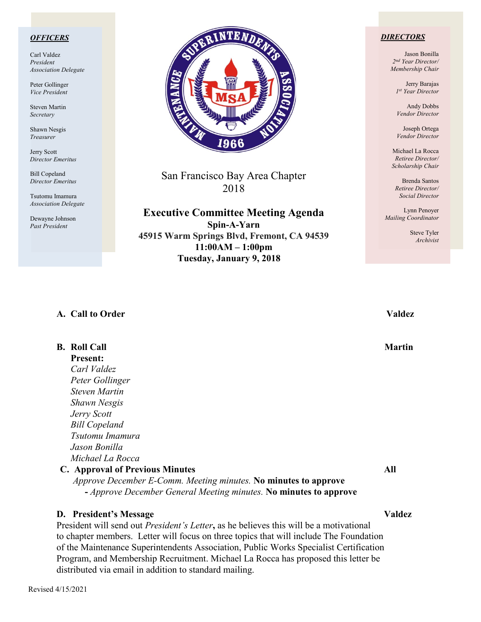## *OFFICERS*

Carl Valdez *President Association Delegate*

Peter Gollinger *Vice President*

Steven Martin *Secretary*

Shawn Nesgis *Treasurer*

Jerry Scott *Director Emeritus*

Bill Copeland *Director Emeritus*

Tsutomu Imamura *Association Delegate*

Dewayne Johnson *Past President*



San Francisco Bay Area Chapter 2018

**Executive Committee Meeting Agenda**

**Spin-A-Yarn 45915 Warm Springs Blvd, Fremont, CA 94539 11:00AM – 1:00pm Tuesday, January 9, 2018**

### *DIRECTORS*

Jason Bonilla *2nd Year Director/ Membership Chair*

> Jerry Barajas *1st Year Director*

Andy Dobbs *Vendor Director*

Joseph Ortega *Vendor Director*

Michael La Rocca *Retiree Director/ Scholarship Chair*

Brenda Santos *Retiree Director/ Social Director*

Lynn Penoyer *Mailing Coordinator*

> Steve Tyler *Archivist*

## **A. Call to Order Valdez**

**B.** Roll Call Martin **Martin Present:** *Carl Valdez Peter Gollinger Steven Martin Shawn Nesgis Jerry Scott Bill Copeland Tsutomu Imamura Jason Bonilla Michael La Rocca* **C. Approval of Previous Minutes All** *Approve December E-Comm. Meeting minutes.* **No minutes to approve -** *Approve December General Meeting minutes.* **No minutes to approve**

## **D. President's Message Valdez**

President will send out *President's Letter***,** as he believes this will be a motivational to chapter members. Letter will focus on three topics that will include The Foundation of the Maintenance Superintendents Association, Public Works Specialist Certification Program, and Membership Recruitment. Michael La Rocca has proposed this letter be distributed via email in addition to standard mailing.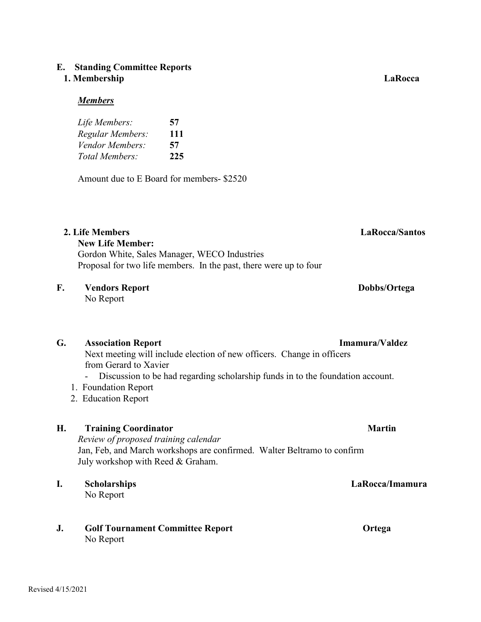# **E. Standing Committee Reports**

# **1. Membership LaRocca**

## *Members*

| Life Members:    | 57  |
|------------------|-----|
| Regular Members: | 111 |
| Vendor Members:  | 57  |
| Total Members:   | 225 |

Amount due to E Board for members- \$2520

# **2. Life Members LaRocca/Santos**

## **New Life Member:** Gordon White, Sales Manager, WECO Industries Proposal for two life members. In the past, there were up to four

# **F. Vendors Report Dobbs/Ortega**

No Report

# **G. Association Report Imamura/Valdez**

Next meeting will include election of new officers. Change in officers from Gerard to Xavier

- Discussion to be had regarding scholarship funds in to the foundation account.
- 1. Foundation Report
- 2. Education Report

# **H. Training Coordinator Martin**

*Review of proposed training calendar* Jan, Feb, and March workshops are confirmed. Walter Beltramo to confirm July workshop with Reed & Graham.

# **I. Scholarships LaRocca/Imamura**

No Report

# **J. Golf Tournament Committee Report Ortega** No Report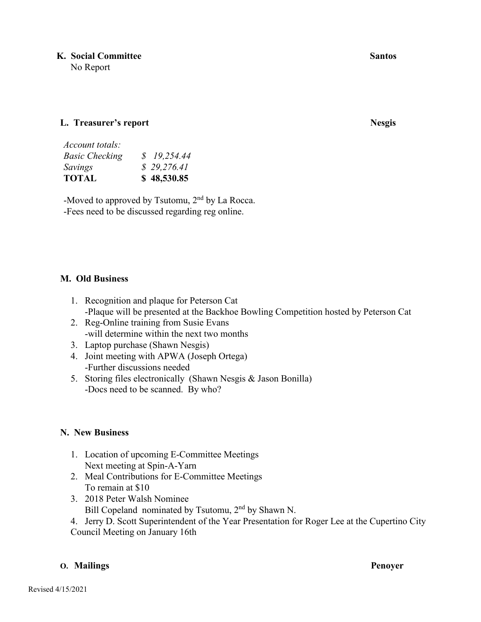**K. Social Committee Santos A. Santos Santos Santos Santos Santos Santos Santos Santos Santos Santos Santos Santos Santos Santos Santos Santos Santos Santos Santos Santos Santos Santos Santos Santos Santos Santos Santos Sa** 

No Report

## **L. Treasurer's report Nesgis**

| Account totals:       |             |
|-----------------------|-------------|
| <b>Basic Checking</b> | \$19,254.44 |
| Savings               | \$29,276.41 |
| <b>TOTAL</b>          | \$48,530.85 |

-Moved to approved by Tsutomu,  $2<sup>nd</sup>$  by La Rocca. -Fees need to be discussed regarding reg online.

## **M. Old Business**

- 1. Recognition and plaque for Peterson Cat -Plaque will be presented at the Backhoe Bowling Competition hosted by Peterson Cat
- 2. Reg-Online training from Susie Evans -will determine within the next two months
- 3. Laptop purchase (Shawn Nesgis)
- 4. Joint meeting with APWA (Joseph Ortega) -Further discussions needed
- 5. Storing files electronically (Shawn Nesgis & Jason Bonilla) -Docs need to be scanned. By who?

## **N. New Business**

- 1. Location of upcoming E-Committee Meetings Next meeting at Spin-A-Yarn
- 2. Meal Contributions for E-Committee Meetings To remain at \$10
- 3. 2018 Peter Walsh Nominee Bill Copeland nominated by Tsutomu, 2<sup>nd</sup> by Shawn N.
- 4. Jerry D. Scott Superintendent of the Year Presentation for Roger Lee at the Cupertino City Council Meeting on January 16th

## **O. Mailings Penoyer**